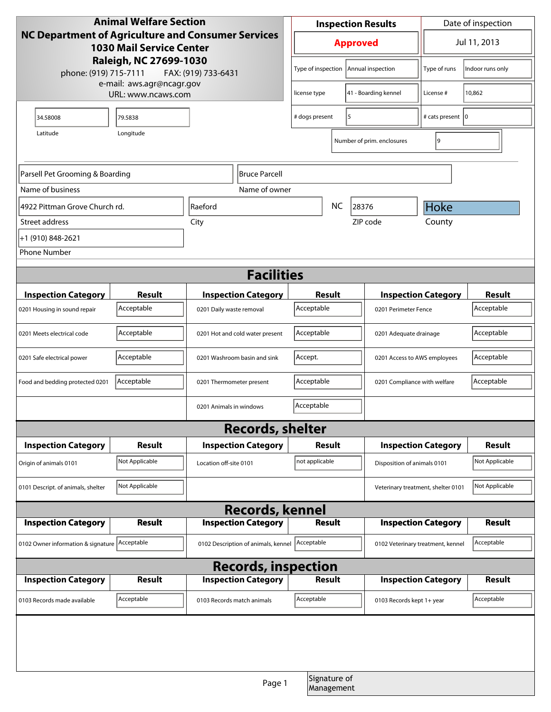| <b>Animal Welfare Section</b>                                                         |                    |                                     | <b>Inspection Results</b> |                                            |                    | Date of inspection                 |                            |                  |
|---------------------------------------------------------------------------------------|--------------------|-------------------------------------|---------------------------|--------------------------------------------|--------------------|------------------------------------|----------------------------|------------------|
| NC Department of Agriculture and Consumer Services<br><b>1030 Mail Service Center</b> |                    |                                     |                           | <b>Approved</b>                            |                    |                                    | Jul 11, 2013               |                  |
| Raleigh, NC 27699-1030<br>phone: (919) 715-7111<br>e-mail: aws.agr@ncagr.gov          |                    | FAX: (919) 733-6431                 |                           | Type of inspection                         |                    | Annual inspection                  | Type of runs               | Indoor runs only |
|                                                                                       | URL: www.ncaws.com |                                     |                           | license type                               |                    | 41 - Boarding kennel               | License #                  | 10,862           |
| 34.58008                                                                              | 79.5838            |                                     |                           | 5<br># dogs present                        |                    |                                    | # cats present 10          |                  |
| Latitude                                                                              | Longitude          |                                     |                           |                                            |                    | Number of prim. enclosures         | 9                          |                  |
|                                                                                       |                    |                                     |                           |                                            |                    |                                    |                            |                  |
| Parsell Pet Grooming & Boarding                                                       |                    | <b>Bruce Parcell</b>                |                           |                                            |                    |                                    |                            |                  |
| Name of business<br>Name of owner                                                     |                    |                                     |                           |                                            |                    |                                    |                            |                  |
| 4922 Pittman Grove Church rd.                                                         |                    | Raeford                             |                           | <b>NC</b><br>28376                         |                    |                                    | Hoke                       |                  |
| Street address                                                                        |                    | City                                |                           |                                            | County<br>ZIP code |                                    |                            |                  |
| +1 (910) 848-2621                                                                     |                    |                                     |                           |                                            |                    |                                    |                            |                  |
| <b>Phone Number</b>                                                                   |                    |                                     |                           |                                            |                    |                                    |                            |                  |
| <b>Facilities</b>                                                                     |                    |                                     |                           |                                            |                    |                                    |                            |                  |
| <b>Inspection Category</b>                                                            | Result             | <b>Inspection Category</b>          |                           | Result                                     |                    |                                    | <b>Inspection Category</b> | <b>Result</b>    |
| 0201 Housing in sound repair                                                          | Acceptable         | 0201 Daily waste removal            |                           | Acceptable                                 |                    | 0201 Perimeter Fence               |                            | Acceptable       |
| 0201 Meets electrical code                                                            | Acceptable         | 0201 Hot and cold water present     |                           | Acceptable                                 |                    | 0201 Adequate drainage             |                            | Acceptable       |
| 0201 Safe electrical power                                                            | Acceptable         | 0201 Washroom basin and sink        |                           | Accept.                                    |                    | 0201 Access to AWS employees       |                            | Acceptable       |
| Food and bedding protected 0201                                                       | Acceptable         | 0201 Thermometer present            |                           | Acceptable<br>0201 Compliance with welfare |                    |                                    | Acceptable                 |                  |
|                                                                                       |                    | 0201 Animals in windows             |                           | Acceptable                                 |                    |                                    |                            |                  |
|                                                                                       |                    | <b>Records, shelter</b>             |                           |                                            |                    |                                    |                            |                  |
| <b>Inspection Category</b>                                                            | Result             | <b>Inspection Category</b>          |                           | <b>Result</b>                              |                    | <b>Inspection Category</b>         |                            | <b>Result</b>    |
| Origin of animals 0101                                                                | Not Applicable     | Location off-site 0101              |                           | not applicable                             |                    | Disposition of animals 0101        |                            | Not Applicable   |
| 0101 Descript. of animals, shelter                                                    | Not Applicable     |                                     |                           |                                            |                    | Veterinary treatment, shelter 0101 |                            | Not Applicable   |
|                                                                                       |                    | <b>Records, kennel</b>              |                           |                                            |                    |                                    |                            |                  |
| <b>Inspection Category</b>                                                            | <b>Result</b>      | <b>Inspection Category</b>          |                           | <b>Result</b>                              |                    |                                    | <b>Inspection Category</b> | <b>Result</b>    |
| 0102 Owner information & signature Acceptable                                         |                    | 0102 Description of animals, kennel |                           | Acceptable                                 |                    | 0102 Veterinary treatment, kennel  |                            | Acceptable       |
| <b>Records, inspection</b>                                                            |                    |                                     |                           |                                            |                    |                                    |                            |                  |
| <b>Inspection Category</b>                                                            | Result             | <b>Inspection Category</b>          |                           | <b>Result</b>                              |                    |                                    | <b>Inspection Category</b> | <b>Result</b>    |
| 0103 Records made available                                                           | Acceptable         | 0103 Records match animals          |                           | Acceptable                                 |                    | 0103 Records kept 1+ year          |                            | Acceptable       |
|                                                                                       |                    |                                     |                           |                                            |                    |                                    |                            |                  |
|                                                                                       |                    |                                     |                           |                                            |                    |                                    |                            |                  |
|                                                                                       |                    |                                     | Page 1                    | Signature of<br>Management                 |                    |                                    |                            |                  |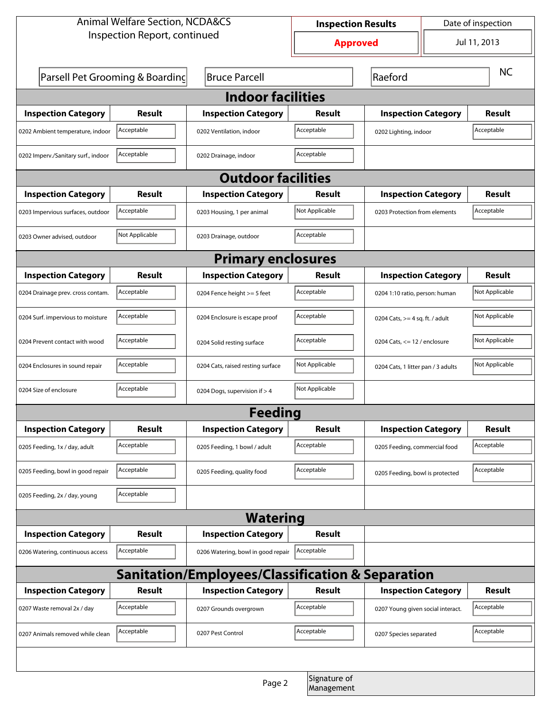| <b>Animal Welfare Section, NCDA&amp;CS</b>       |                                 |                                    | Date of inspection<br><b>Inspection Results</b> |                                    |                               |                |  |  |
|--------------------------------------------------|---------------------------------|------------------------------------|-------------------------------------------------|------------------------------------|-------------------------------|----------------|--|--|
|                                                  | Inspection Report, continued    |                                    | <b>Approved</b>                                 |                                    |                               | Jul 11, 2013   |  |  |
|                                                  | Parsell Pet Grooming & Boarding | <b>Bruce Parcell</b>               |                                                 | Raeford                            |                               | <b>NC</b>      |  |  |
| <b>Indoor facilities</b>                         |                                 |                                    |                                                 |                                    |                               |                |  |  |
| <b>Inspection Category</b>                       | Result                          | <b>Inspection Category</b>         | Result                                          | <b>Inspection Category</b>         |                               | <b>Result</b>  |  |  |
| 0202 Ambient temperature, indoor                 | Acceptable                      | 0202 Ventilation, indoor           | Acceptable                                      | 0202 Lighting, indoor              |                               | Acceptable     |  |  |
| 0202 Imperv./Sanitary surf., indoor              | Acceptable                      | 0202 Drainage, indoor              | Acceptable                                      |                                    |                               |                |  |  |
| <b>Outdoor facilities</b>                        |                                 |                                    |                                                 |                                    |                               |                |  |  |
| <b>Inspection Category</b>                       | Result                          | <b>Inspection Category</b>         | Result                                          |                                    | <b>Inspection Category</b>    |                |  |  |
| 0203 Impervious surfaces, outdoor                | Acceptable                      | 0203 Housing, 1 per animal         | Not Applicable                                  |                                    | 0203 Protection from elements |                |  |  |
| 0203 Owner advised, outdoor                      | Not Applicable                  | 0203 Drainage, outdoor             | Acceptable                                      |                                    |                               |                |  |  |
| <b>Primary enclosures</b>                        |                                 |                                    |                                                 |                                    |                               |                |  |  |
| <b>Inspection Category</b>                       | Result                          | <b>Inspection Category</b>         | Result                                          | <b>Inspection Category</b>         |                               | Result         |  |  |
| 0204 Drainage prev. cross contam.                | Acceptable                      | 0204 Fence height >= 5 feet        | Acceptable                                      | 0204 1:10 ratio, person: human     |                               | Not Applicable |  |  |
| 0204 Surf. impervious to moisture                | Acceptable                      | 0204 Enclosure is escape proof     | Acceptable                                      | 0204 Cats, $>=$ 4 sq. ft. / adult  |                               | Not Applicable |  |  |
| 0204 Prevent contact with wood                   | Acceptable                      | 0204 Solid resting surface         | Acceptable                                      | 0204 Cats, $<= 12$ / enclosure     |                               | Not Applicable |  |  |
| 0204 Enclosures in sound repair                  | Acceptable                      | 0204 Cats, raised resting surface  | Not Applicable                                  | 0204 Cats, 1 litter pan / 3 adults |                               | Not Applicable |  |  |
| 0204 Size of enclosure                           | Acceptable                      | 0204 Dogs, supervision if > 4      | Not Applicable                                  |                                    |                               |                |  |  |
| Feedina                                          |                                 |                                    |                                                 |                                    |                               |                |  |  |
| <b>Inspection Category</b>                       | <b>Result</b>                   | <b>Inspection Category</b>         | <b>Result</b>                                   | <b>Inspection Category</b>         |                               | <b>Result</b>  |  |  |
| 0205 Feeding, 1x / day, adult                    | Acceptable                      | 0205 Feeding, 1 bowl / adult       | Acceptable                                      | 0205 Feeding, commercial food      |                               | Acceptable     |  |  |
| 0205 Feeding, bowl in good repair                | Acceptable                      | 0205 Feeding, quality food         | Acceptable                                      | 0205 Feeding, bowl is protected    |                               | Acceptable     |  |  |
| 0205 Feeding, 2x / day, young                    | Acceptable                      |                                    |                                                 |                                    |                               |                |  |  |
| <b>Watering</b>                                  |                                 |                                    |                                                 |                                    |                               |                |  |  |
| <b>Inspection Category</b>                       | <b>Result</b>                   | <b>Inspection Category</b>         | <b>Result</b>                                   |                                    |                               |                |  |  |
| 0206 Watering, continuous access                 | Acceptable                      | 0206 Watering, bowl in good repair | Acceptable                                      |                                    |                               |                |  |  |
| Sanitation/Employees/Classification & Separation |                                 |                                    |                                                 |                                    |                               |                |  |  |
| <b>Inspection Category</b>                       | <b>Result</b>                   | <b>Inspection Category</b>         | Result                                          | <b>Inspection Category</b>         |                               | <b>Result</b>  |  |  |
| 0207 Waste removal 2x / day                      | Acceptable                      | 0207 Grounds overgrown             | Acceptable                                      | 0207 Young given social interact.  |                               | Acceptable     |  |  |
| 0207 Animals removed while clean                 | Acceptable                      | 0207 Pest Control                  | Acceptable                                      | 0207 Species separated             |                               | Acceptable     |  |  |
|                                                  |                                 |                                    |                                                 |                                    |                               |                |  |  |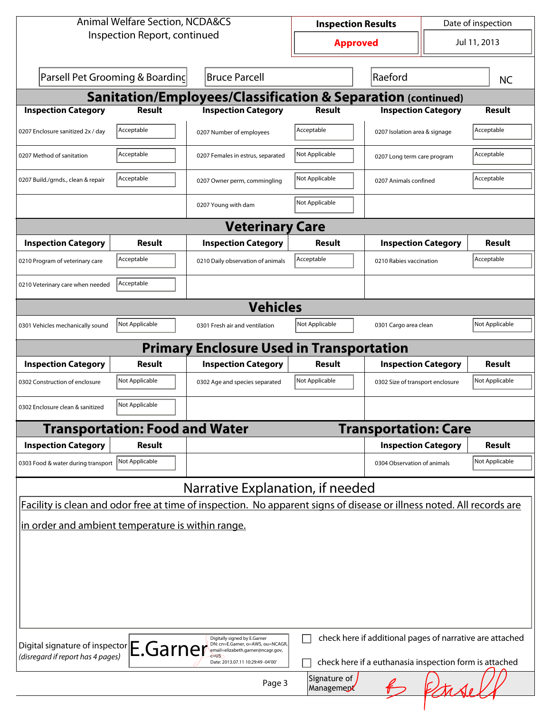| <b>Animal Welfare Section, NCDA&amp;CS</b>                                                                            | <b>Inspection Results</b>                                                                              |                            |                                                          | Date of inspection |                |  |  |  |  |
|-----------------------------------------------------------------------------------------------------------------------|--------------------------------------------------------------------------------------------------------|----------------------------|----------------------------------------------------------|--------------------|----------------|--|--|--|--|
| Inspection Report, continued                                                                                          |                                                                                                        | <b>Approved</b>            |                                                          | Jul 11, 2013       |                |  |  |  |  |
| Parsell Pet Grooming & Boarding                                                                                       | <b>Bruce Parcell</b>                                                                                   |                            | Raeford                                                  |                    | <b>NC</b>      |  |  |  |  |
| <b>Sanitation/Employees/Classification &amp; Separation (continued)</b>                                               |                                                                                                        |                            |                                                          |                    |                |  |  |  |  |
| <b>Inspection Category</b><br><b>Result</b>                                                                           | <b>Inspection Category</b>                                                                             | <b>Result</b>              | <b>Inspection Category</b>                               |                    | <b>Result</b>  |  |  |  |  |
| Acceptable<br>0207 Enclosure sanitized 2x / day                                                                       | 0207 Number of employees                                                                               | Acceptable                 | 0207 Isolation area & signage                            |                    | Acceptable     |  |  |  |  |
| Acceptable<br>0207 Method of sanitation                                                                               | 0207 Females in estrus, separated                                                                      | Not Applicable             | 0207 Long term care program                              |                    | Acceptable     |  |  |  |  |
| Acceptable<br>0207 Build./grnds., clean & repair                                                                      | 0207 Owner perm, commingling                                                                           | Not Applicable             | 0207 Animals confined                                    |                    | Acceptable     |  |  |  |  |
|                                                                                                                       | 0207 Young with dam                                                                                    | Not Applicable             |                                                          |                    |                |  |  |  |  |
|                                                                                                                       | <b>Veterinary Care</b>                                                                                 |                            |                                                          |                    |                |  |  |  |  |
| <b>Inspection Category</b><br>Result                                                                                  | <b>Inspection Category</b>                                                                             | Result                     | <b>Inspection Category</b>                               |                    | Result         |  |  |  |  |
| Acceptable<br>0210 Program of veterinary care                                                                         | 0210 Daily observation of animals                                                                      | Acceptable                 | 0210 Rabies vaccination                                  |                    | Acceptable     |  |  |  |  |
| Acceptable<br>0210 Veterinary care when needed                                                                        |                                                                                                        |                            |                                                          |                    |                |  |  |  |  |
| <b>Vehicles</b>                                                                                                       |                                                                                                        |                            |                                                          |                    |                |  |  |  |  |
| Not Applicable<br>0301 Vehicles mechanically sound                                                                    | 0301 Fresh air and ventilation                                                                         | Not Applicable             | 0301 Cargo area clean                                    |                    | Not Applicable |  |  |  |  |
|                                                                                                                       | <b>Primary Enclosure Used in Transportation</b>                                                        |                            |                                                          |                    |                |  |  |  |  |
| <b>Inspection Category</b><br>Result                                                                                  | <b>Inspection Category</b>                                                                             | Result                     | <b>Inspection Category</b>                               |                    | Result         |  |  |  |  |
| Not Applicable<br>0302 Construction of enclosure                                                                      | 0302 Age and species separated                                                                         | Not Applicable             | 0302 Size of transport enclosure                         |                    | Not Applicable |  |  |  |  |
| Not Applicable<br>0302 Enclosure clean & sanitized                                                                    |                                                                                                        |                            |                                                          |                    |                |  |  |  |  |
| <b>Transportation: Food and Water</b>                                                                                 |                                                                                                        |                            | <b>Transportation: Care</b>                              |                    |                |  |  |  |  |
| <b>Inspection Category</b><br><b>Result</b>                                                                           |                                                                                                        |                            | <b>Inspection Category</b>                               |                    | <b>Result</b>  |  |  |  |  |
| Not Applicable<br>0303 Food & water during transport                                                                  |                                                                                                        |                            | 0304 Observation of animals                              |                    | Not Applicable |  |  |  |  |
|                                                                                                                       | Narrative Explanation, if needed                                                                       |                            |                                                          |                    |                |  |  |  |  |
| Facility is clean and odor free at time of inspection. No apparent signs of disease or illness noted. All records are |                                                                                                        |                            |                                                          |                    |                |  |  |  |  |
| in order and ambient temperature is within range.                                                                     |                                                                                                        |                            |                                                          |                    |                |  |  |  |  |
| Digital signature of inspector E.Garner                                                                               | Digitally signed by E.Garner<br>DN: cn=E.Garner, o=AWS, ou=NCAGR,<br>email=elizabeth.garner@ncagr.gov, |                            | check here if additional pages of narrative are attached |                    |                |  |  |  |  |
| (disregard if report has 4 pages)                                                                                     | Date: 2013.07.11 10:29:49 -04'00'                                                                      |                            | check here if a euthanasia inspection form is attached   |                    |                |  |  |  |  |
|                                                                                                                       | Page 3                                                                                                 | Signature of<br>Management |                                                          |                    |                |  |  |  |  |